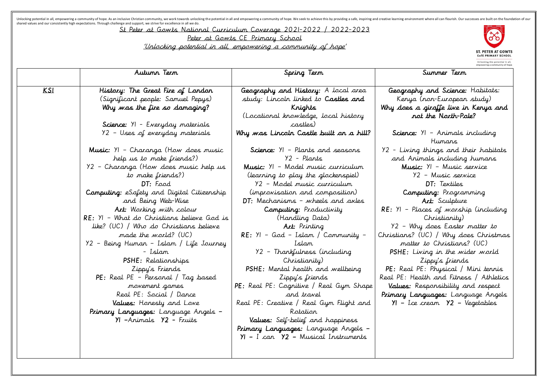Unlocking potential in all, empowering a community of hope. As an inclusive Christian community, we work towards unlocking the potential in all and empowering a community of hope. We seek to achieve this by providing a saf shared values and our consistently high expectations. Through challenge and support, we strive for excellence in all we do.

St Peter at Gowts National Curriculum Coverage 2021-2022 / 2022-2023

Peter at Gowts CE Primary School

'Unlocking potential in all, empowering a community of hope'

|            | Autumn Term                                | Spring Term                             |                  |
|------------|--------------------------------------------|-----------------------------------------|------------------|
| <u>KSI</u> | History: The Great Fire of London          | Geography and History: A local area     | Geograp          |
|            | (Significant people: Samuel Pepys)         | study: Lincoln linked to Castles and    | Kery             |
|            | Why was the fire so damaging?              | Krights                                 | Why does         |
|            |                                            | (Locational knowledge, local history    | $\boldsymbol{X}$ |
|            | Science: YI - Everyday materials           | castles)                                |                  |
|            | Y2 - Uses of everyday materials            | Why was Lincoln Castle built on a hill? | Science          |
|            | Music: YI - Charanga (How does music       | Science: YI - Plants and seasons        | 72 - Livir       |
|            | help us to make friends?)                  | Y2 – Plants                             | and A            |
|            | Y2 – Charanga (How does music help us      | Music: YI - Model music curriculum      | Mus              |
|            | to make friends?)                          | (learning to play the glockenspiel)     |                  |
|            | DT: Food                                   | Y2 - Model music curriculum             |                  |
|            | Computing: eSafety and Digital Citizenship | (improvisation and composition)         | Con              |
|            | and Being Web-Wise                         | DT: Mechanisms - wheels and axles       |                  |
|            | Art: Working with colour                   | Computing: Productivity                 | $RE: YI - F$     |
|            | RE: YI – What do Christians believe God is | (Handling Data)                         |                  |
|            | like? (UC) / Who do Christians believe     | <b>Art:</b> Printing                    | $Y2 - W$         |
|            | made the world? (UC)                       | $RE: YI - God - Islam / Community -$    | Christians?      |
|            | Y2 – Being Human – Islam / Life Journey    | Islam                                   | matt             |
|            | - Islam                                    | Y2 – Thankfulness (including            | PSHE: L          |
|            | PSHE: Relationships                        | Christianity)                           |                  |
|            | Zippy's Friends                            | PSHE: Mental health and wellbeing       | PE: Real         |
|            | PE: Real PE - Personal / Tag based         | Zippy's friends                         | Real PE: H       |
|            | movement games                             | PE: Real PE: Cognitive / Real Gym Shape | Values:          |
|            | Real PE: Social / Dance                    | and travel                              | Primary L        |
|            | Values: Honesty and Love                   | Real PE: Creative / Real Gym Flight and | $YI - Ic$        |
|            | Primary Languages: Language Angels –       | Rotation                                |                  |
|            | YI -Animals Y2 - Fruits                    | Values: Self-belief and happiness       |                  |
|            |                                            | Primary Languages: Language Angels -    |                  |
|            |                                            | $YI - I can Y2 - Musical Instruments$   |                  |
|            |                                            |                                         |                  |
|            |                                            |                                         |                  |



Unlocking the potential in all,<br>empowering a community of hope.

## Summer Term

ahy and Science: Habitats: a (non-European study) a giraffe live in Kenya and not the North-Pole?  $\epsilon$ : YI – Animals including Humans ng things and their habitats nimals including humans Music: Y1 – Music service Y2 – Music service DT: Textiles Computing: Programming Art: Sculpture Places of worship (including Christianity) Y2 – Why does Easter matter to Christians? (UC) / Why does Christmas ter to Christians? (UC) Living in the wider world Zippy's friends PE: Physical / Mini tennis lealth and Fitness / Athletics Responsibility and respect anguages: Language Angels Y1 – Ice cream Y2 – Vegetables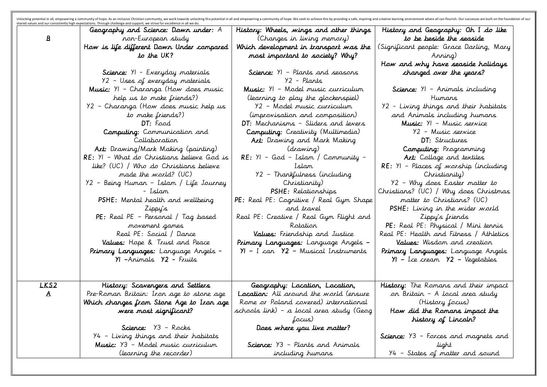| shared values and our consistently high expectations. Through challenge and support, we strive for excellence in all we do.<br>$\mathbf{B}$ | Geography and Science: Down under: A<br>ron-European study<br>How is life different Down Under compared                  | History: Wheels, wings and other things<br>(Changes in living memory)<br>Which development in transport was the          | History ar<br>to 1<br>(Significant |
|---------------------------------------------------------------------------------------------------------------------------------------------|--------------------------------------------------------------------------------------------------------------------------|--------------------------------------------------------------------------------------------------------------------------|------------------------------------|
|                                                                                                                                             | to the UK?                                                                                                               | most important to society? Why?                                                                                          | How and .                          |
|                                                                                                                                             | Science: YI - Everyday materials<br>Y2 - Uses of everyday materials                                                      | Science: YI - Plants and seasons<br>Y2 - Plants                                                                          | cha                                |
|                                                                                                                                             | Music: YI - Charanga (How does music<br>help us to make friends?)                                                        | Music: YI - Model music curriculum<br>(learning to play the glockenspiel)                                                | Science                            |
|                                                                                                                                             | Y2 - Charanga (How does music help us<br>to make friends?)                                                               | Y2 - Model music curriculum<br>(improvisation and composition)                                                           | Y2 - Livin<br>and An               |
|                                                                                                                                             | DT: Food<br>Computing: Communication and<br>Collaboration                                                                | DT: Mechanisms - Sliders and levers<br>Computing: Creativity (Multimedia)<br>Art: Drawing and Mark Making                | Mus<br>$\rightarrow$               |
|                                                                                                                                             | Art: Drawing/Mark Making (painting)<br>RE: YI - What do Christians believe God is                                        | (drawing)<br>$RE: YI - God - Islam / Community -$                                                                        | Con<br>Art:                        |
|                                                                                                                                             | like? (UC) / Who do Christians believe<br>made the world? (UC)                                                           | Islam<br>Y2 - Thankfulness (including                                                                                    | $RE: YI - P$                       |
|                                                                                                                                             | 92 – Being Human – Islam / Life Journey<br>- Islam                                                                       | Christianity)<br>PSHE: Relationships                                                                                     | $Y2 - W1$<br>Christians?           |
|                                                                                                                                             | PSHE: Mental health and wellbeing<br>Zippy's                                                                             | PE: Real PE: Cognitive / Real Gym Shape<br>and travel                                                                    | natti<br>PSHE: L                   |
|                                                                                                                                             | PE: Real PE - Personal / Tag based<br>movement games                                                                     | Real PE: Creative / Real Gym Flight and<br>Rotation                                                                      | PE: Real                           |
|                                                                                                                                             | Real PE: Social / Dance<br>Values: Hope & Trust and Peace                                                                | Values: Friendship and Justice<br>Primary Languages: Language Angels –                                                   | Real PE: H<br>Values               |
|                                                                                                                                             | Primary Languages: Language Angels -<br>YI -Animals Y2 - Fruits                                                          | YI – I can Y2 – Musical Instruments                                                                                      | Primary L<br>$YI - I_{cc}$         |
| <u>LKS2</u><br>$\mathbf{A}$                                                                                                                 | History: Scavengers and Settlers<br>Pre-Roman Britain: Iron age to stone age<br>Which changes from Stone Age to Iron age | Geography: Location, Location,<br><b>Location:</b> All around the world (ensure<br>Rome or Poland covered) international | History: T<br>on Briti             |
|                                                                                                                                             | were most significant?                                                                                                   | schools link) – a local area study (Geog<br>focus)                                                                       | How di<br>h                        |
|                                                                                                                                             | Science: Y3 - Rocks<br>94 – Living things and their habitats                                                             | Does where you live matter?                                                                                              | Science: Y3                        |
|                                                                                                                                             | Music: Y3 - Model music curriculum<br>(learning the recorder)                                                            | Science: Y3 - Plants and Animals<br>including humans                                                                     | $Y4 - Stc$                         |

nment where all can flourish. Our successes are built on the foundation of our

History and Geography: Oh I do like to be beside the seaside (Significant people: Grace Darling, Mary Anning) How and why have seaside holidays changed over the years? Science: Y1 – Animals including Humans Y2 - Living things and their habitats and Animals including humans Music: Y1 – Music service Y2 – Music service DT: Structures Computing: Programming Art: Collage and textiles RE: Y1 – Places of worship (including Christianity) Y2 – Why does Easter matter to Christians? (UC) / Why does Christmas matter to Christians? (UC) PSHE: Living in the wider world Zippy's friends PE: Real PE: Physical / Mini tennis Real PE: Health and Fitness / Athletics Values: Wisdom and creation Primary Languages: Language Angels Y1 – Ice cream Y2 – Vegetables History: The Romans and their impact on Britain – A local area study (History focus) How did the Romans impact the history of Lincoln? Science: Y3 – Forces and magnets and

light Y4 – States of matter and sound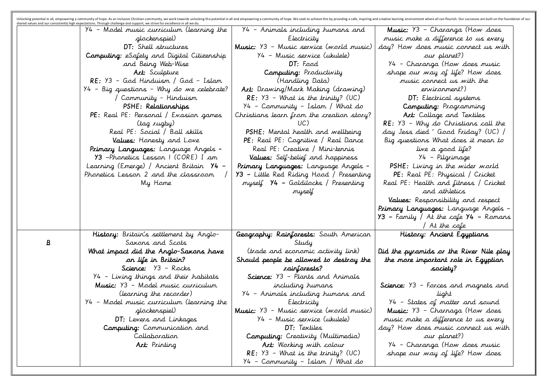|          | shared values and our consistently high expectations. Through challenge and support, we strive for excellence in all we do.<br>94 - Model music curriculum (learning the | 94 – Animals including humans and         | Music: Y                  |
|----------|--------------------------------------------------------------------------------------------------------------------------------------------------------------------------|-------------------------------------------|---------------------------|
|          | glockenspiel)                                                                                                                                                            | Electricity                               | music ma                  |
|          | DT: Shell structures                                                                                                                                                     | Music: Y3 - Music service (world music)   | day? How                  |
|          | Computing: eSafety and Digital Citizenship                                                                                                                               | Y4 - Music service (ukulele)              |                           |
|          | and Being Web-Wise                                                                                                                                                       | DT: Food                                  | $Y4 - Ch$                 |
|          | Art: Sculpture                                                                                                                                                           | Computing: Productivity                   | shape oi                  |
|          | RE: Y3 - God Hinduism / God - Islam                                                                                                                                      | (Handling Data)                           | musi                      |
|          | $Y4$ - Big questions - Why do we celebrate?                                                                                                                              | Art: Drawing/Mark Making (drawing)        |                           |
|          | Community - Hinduism                                                                                                                                                     | $RE: Y3 - What is the trinity? (UC)$      | D <sub>T</sub>            |
|          | PSHE: Relationships                                                                                                                                                      | 94 – Community – Islam / What do          | Con                       |
|          | <b>PE</b> : Real PE: Personal / Evasion games                                                                                                                            | Christians learn from the creation story? | Art:                      |
|          | (tag rugby)                                                                                                                                                              | UC)                                       | $RE: Y3 -$                |
|          | Real PE: Social / Ball skills                                                                                                                                            | PSHE: Mental health and wellbeing         | day Jess.                 |
|          | Values: Honesty and Love                                                                                                                                                 | PE: Real PE: Cognitive / Real Dance       | Big quest                 |
|          | Primary Languages: Language Angels -                                                                                                                                     | Real PE: Creative / Mini-tennis           |                           |
|          | 93 -Phonetics Lesson I (CORE) I am                                                                                                                                       | Values: Self-belief and happiness         |                           |
|          | Learning (Emerge) / Ancient Britain 74 –                                                                                                                                 | Primary Languages: Language Angels -      | PSHE: L                   |
|          | Phonetics Lesson 2 and the classroom                                                                                                                                     | Y3 - Little Red Riding Hood / Presenting  | PE: Re                    |
|          | My Home                                                                                                                                                                  | myself Y4 - Goldilocks / Presenting       | Real PE: 1                |
|          |                                                                                                                                                                          | myself                                    |                           |
|          |                                                                                                                                                                          |                                           | Values:                   |
|          |                                                                                                                                                                          |                                           | Primary La<br>Y3 – Family |
|          |                                                                                                                                                                          |                                           |                           |
|          | History: Britain's settlement by Anglo-                                                                                                                                  | Geography: Rainforests: South American    | Histc                     |
| <u>B</u> | Saxons and Scots                                                                                                                                                         | Study                                     |                           |
|          | What impact did the Anglo-Saxons have                                                                                                                                    | (trade and economic activity link)        | Did the pyr.              |
|          | on life in Britain?                                                                                                                                                      | Should people be allowed to destroy the   | the more                  |
|          | Science: Y3 - Rocks                                                                                                                                                      | rainforests?                              |                           |
|          | Y4 - Living things and their habitats                                                                                                                                    | Science: Y3 - Plants and Animals          |                           |
|          | Music: Y3 - Model music curriculum                                                                                                                                       | including humans                          | Science: Y3               |
|          | (learning the recorder)                                                                                                                                                  | 94 - Animals including humans and         |                           |
|          | Y4 - Model music curriculum (learning the                                                                                                                                | Electricity                               | $Y4 - St$                 |
|          | glockenspiel)                                                                                                                                                            | Music: Y3 - Music service (world music)   | Music: Y                  |
|          | DT: Levers and Linkages                                                                                                                                                  | 94 - Music service (ukulele)              | music ma                  |
|          | Computing: Communication and                                                                                                                                             | <b>DT:</b> Textiles                       | day? How                  |
|          | Collaboration                                                                                                                                                            | Computing: Creativity (Multimedia)        |                           |
|          | Art: Printing                                                                                                                                                            | Art: Working with colour                  | $Y4 - Ch$                 |
|          |                                                                                                                                                                          | $RE: Y3 - What is the trinity? (UC)$      | shape oi                  |
|          |                                                                                                                                                                          | Y4 – Community – Islam / What do          |                           |

nment where all can flourish. Our successes are built on the foundation of our

Music: Y3 – Charanga (How does music make a difference to us every day? How does music connect us with our planet?) Y4 – Charanga (How does music shape our way of life? How does music connect us with the environment?) DT: Electrical systems Computing: Programming Art: Collage and Textiles RE: Y3 – Why do Christians call the day Jess died ' Good Friday? (UC) / Big questions What does it mean to live a good life? Y4 – Pilgrimage PSHE: Living in the wider world PE: Real PE: Physical / Cricket Real PE: Health and fitness / Cricket and athletics Values: Responsibility and respect Primary Languages: Language Angels - Y3 – Family / At the cafe Y4 – Romans / At the cafe History: Ancient Egyptians Did the pyramids or the River Nile play the more important role in Egyptian society?

- Forces and magnets and light ates of matter and sound 13 – Charnaga (How does ike a difference to us every does music connect us with our planet?) aranga (H*o*w does music ur way of life? How does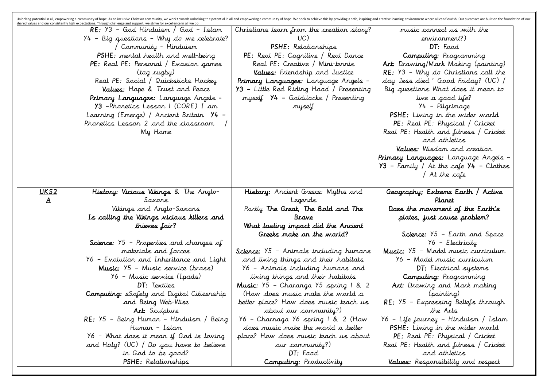| musi               | Christians learn from the creation story?                      | shared values and our consistently high expectations. Through challenge and support, we strive for excellence in all we do.<br>RE: Y3 - God Hinduism / God - Islam |              |
|--------------------|----------------------------------------------------------------|--------------------------------------------------------------------------------------------------------------------------------------------------------------------|--------------|
|                    | UC)                                                            | $Y4$ - Big questions - Why do we celebrate?                                                                                                                        |              |
|                    | PSHE: Relationships                                            | Community - Hinduism                                                                                                                                               |              |
| Con                | PE: Real PE: Cognitive / Real Dance                            | PSHE: mental health and well-being                                                                                                                                 |              |
| Art: Draw          | Real PE: Creative / Mini-tennis                                | PE: Real PE: Personal / Evasion games                                                                                                                              |              |
| $RE: Y3 -$         | Values: Friendship and Justice                                 | (tag rugby)                                                                                                                                                        |              |
| day Jess           | Primary Languages: Language Angels -                           | Real PE: Social / Quicksticks Hockey                                                                                                                               |              |
| Big quest          | Y3 - Little Red Riding Hood / Presenting                       | Values: Hope & Trust and Peace                                                                                                                                     |              |
|                    | myself 74 - Goldilocks / Presenting                            | Primary Languages: Language Angels -                                                                                                                               |              |
|                    | myself                                                         | Y3 -Phonetics Lesson I (CORE) I am                                                                                                                                 |              |
| PSHE: L            |                                                                | Learning (Emerge) / Ancient Britain 74 –                                                                                                                           |              |
| PE: Re<br>Real PE: |                                                                | Phonetics Lesson 2 and the classroom                                                                                                                               |              |
|                    |                                                                | My Home                                                                                                                                                            |              |
| Values             |                                                                |                                                                                                                                                                    |              |
| Primary La         |                                                                |                                                                                                                                                                    |              |
| Y3 – Famil         |                                                                |                                                                                                                                                                    |              |
|                    |                                                                |                                                                                                                                                                    |              |
| Geograph           | History: Ancient Greece: Myths and                             | History: Vicious Vikings & The Anglo-                                                                                                                              | <u>UKS2</u>  |
|                    | Legends                                                        | Saxors                                                                                                                                                             | $\mathbf{A}$ |
| Does the           | Partly The Great, The Bold and The                             | Vikings and Anglo-Saxons                                                                                                                                           |              |
| plate              | Brave                                                          | Is calling the Vikings vicious killers and                                                                                                                         |              |
|                    | What lasting impact did the Ancient                            | thieves fair?                                                                                                                                                      |              |
| Scie               | Greeks make on the world?                                      |                                                                                                                                                                    |              |
|                    |                                                                | Science: $95$ – Properties and changes of                                                                                                                          |              |
| Music: Y5          | Science: Y5 - Animals including humans                         | materials and forces                                                                                                                                               |              |
| $96 - 1$           | and living things and their habitats                           | Y6 – Evolution and Inheritance and Light                                                                                                                           |              |
|                    | 96 – Animals including humans and                              | Music: Y5 - Music service (brass)                                                                                                                                  |              |
| Con                | living things and their habitats                               | 96 – Music service (Ipads)                                                                                                                                         |              |
| Art: Dr.           | Music: Y5 - Charanga Y5 spring 1 & 2                           | <b>DT:</b> Textiles                                                                                                                                                |              |
| $RE: Y5 -$         | (How does music make the world a                               | Computing: eSafety and Digital Citizenship                                                                                                                         |              |
|                    | better place? How does music teach us<br>about our community?) | and Being Web-Wise<br>Art: Sculpture                                                                                                                               |              |
| $Y6 - Life$        | 96 – Charnaga 96 spring 1 & 2 (How                             | RE: Y5 – Being Human – Hinduism / Being                                                                                                                            |              |
| PSHE: L            | does music make the world a better                             | Humar – Islam                                                                                                                                                      |              |
| PE: Re             | place? How does music teach us about                           | Y6 – What does it mean if God is loving                                                                                                                            |              |
| Real PE:           | our community?)                                                | and Holy? (UC) / Do you have to believe                                                                                                                            |              |
|                    | DT: Food                                                       | in God to be good?                                                                                                                                                 |              |
|                    |                                                                |                                                                                                                                                                    |              |

onment where all can flourish. Our successes are built on the foundation of our

music connect us with the environment?) DT: Food Computing: Programming Art: Drawing/Mark Making (painting) RE: Y3 – Why do Christians call the day Jess died ' Good Friday? (UC) / Big questions What does it mean to live a good life? Y4 – Pilgrimage PSHE: Living in the wider world PE: Real PE: Physical / Cricket Real PE: Health and fitness / Cricket and athletics Values: Wisdom and creation Primary Languages: Language Angels - Y3 – Family / At the cafe Y4 – Clothes / At the cafe Geography; Extreme Earth / Active Planet Does the movement of the Earth's plates, just cause problem? Science: Y5 – Earth and Space Y6 – Electricity Music: Y5 – Model music curriculum Y6 – Model music curriculum DT: Electrical systems Computing: Programming Art: Drawing and Mark making (painting) RE: Y5 – Expressing Beliefs through the Arts Y6 – Life journey – Hinduism / Islam PSHE: Living in the wider world PE: Real PE: Physical / Cricket Real PE: Health and fitness / Cricket and athletics Values: Responsibility and respect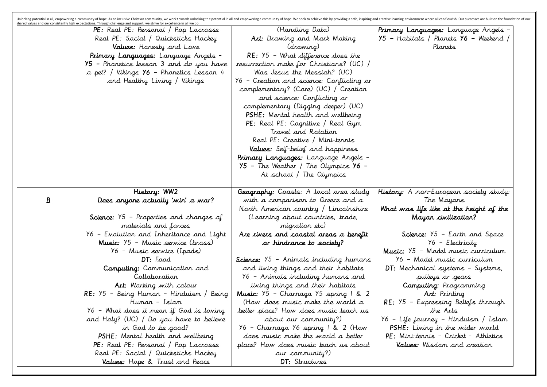|              | shared values and our consistently high expectations. Through challenge and support, we strive for excellence in all we do. |                                                                                    |              |
|--------------|-----------------------------------------------------------------------------------------------------------------------------|------------------------------------------------------------------------------------|--------------|
|              | PE: Real PE: Personal / Pop Lacrosse                                                                                        | (Handling Data)                                                                    | Primary L    |
|              | Real PE: Social / Quicksticks Hockey                                                                                        | Art: Drawing and Mark Making                                                       | Y5 – Habi    |
|              | Values: Honesty and Love                                                                                                    | (drawing)                                                                          |              |
|              | Primary Languages: Language Angels -                                                                                        | $RE: Y5 - What difference does the$                                                |              |
|              | 95 – Phonetics lesson 3 and do you have                                                                                     | resurrection make for Christians? (UC) /                                           |              |
|              | a pet? / Vikings Y6 - Phonetics Lesson 4                                                                                    | Was Jesus the Messiah? (UC)                                                        |              |
|              | and Healthy Living / Vikings                                                                                                | Y6 - Creation and science: Conflicting or<br>complementary? (Core) (UC) / Creation |              |
|              |                                                                                                                             | and science: Conflicting or                                                        |              |
|              |                                                                                                                             | complementary (Digging deeper) (UC)                                                |              |
|              |                                                                                                                             | PSHE: Mental health and wellbeing                                                  |              |
|              |                                                                                                                             | PE: Real PE: Cognitive / Real Gym                                                  |              |
|              |                                                                                                                             | Travel and Rotation                                                                |              |
|              |                                                                                                                             | Real PE: Creative / Mini-tennis                                                    |              |
|              |                                                                                                                             | Values: Self-belief and happiness                                                  |              |
|              |                                                                                                                             | Primary Languages: Language Angels -                                               |              |
|              |                                                                                                                             | Y5 - The Weather / The Olympics Y6 -                                               |              |
|              |                                                                                                                             | At school / The Olympics                                                           |              |
|              |                                                                                                                             |                                                                                    |              |
|              | History: WW2                                                                                                                | Geography: Coasts: A local area study                                              | History: A   |
| $\mathbf{B}$ | Does anyone actually 'win' a war?                                                                                           | with a comparison to Greece and a                                                  |              |
|              |                                                                                                                             | North American country / Lincolnshire                                              | What was     |
|              | Science: $Y5$ - Properties and changes of                                                                                   | (Learning about countries, trade,                                                  |              |
|              | materials and forces                                                                                                        | migration etc)                                                                     | Sci          |
|              | Y6 - Evolution and Inheritance and Light<br>Music: Y5 - Music service (brass)                                               | Are rivers and coastal areas a benefit<br>or hindrance to society?                 |              |
|              | Y6 – Music service (Ipads)                                                                                                  |                                                                                    | Music: Y     |
|              | DT: Food                                                                                                                    | Science: Y5 - Animals including humans                                             | $\gamma_6$ – |
|              | Computing: Communication and                                                                                                | and living things and their habitats                                               | DT: Mec      |
|              | Collaboration                                                                                                               | 96 – Animals including humans and                                                  |              |
|              | Art: Working with colour                                                                                                    | living things and their habitats                                                   | Co.          |
|              | RE: Y5 – Being Human – Hinduism / Being                                                                                     | Music: 95 – Charnaga 95 spring 1 & 2                                               |              |
|              | Humar – Islam                                                                                                               | (How does music make the world a                                                   | RE: Y5 -     |
|              | 96 – What does it mean if God is loving                                                                                     | better place? How does music teach us                                              |              |
|              | and Holy? (UC) / Do you have to believe                                                                                     | about our community?)                                                              | 96 – Life    |
|              | in God to be good?                                                                                                          | Y6 – Charnaga Y6 spring 1 & 2 (How                                                 | PSHE:        |
|              | PSHE: Mental health and wellbeing                                                                                           | does music make the world a better                                                 | PE: Min      |
|              | PE: Real PE: Personal / Pop Lacrosse                                                                                        | place? How does music teach us about                                               | Value        |
|              | Real PE: Social / Quicksticks Hockey                                                                                        | our community?)                                                                    |              |
|              | Values: Hope & Trust and Peace                                                                                              | DT: Structures                                                                     |              |
|              |                                                                                                                             |                                                                                    |              |

Unlocking potential in all, empowering a community of hope. As an inclusive Christian community, we work towards unlocking the potential in all and empowering a community of hope. We seek to achieve this by providing a saf a<mark>nguages:</mark> Language Angels itats / Planets Y6 – Weekend / Planets History: A non-European society study: The Mayans  $\bm s$  life like at the height of the Mayan civilization? ience: Y5 – Earth and Space Y6 – Electricity Music: Y5 – Model music curriculum Model music curriculum hanical systems – Systems, pulleys or gears Computing: Programming Art: Printing – Expressing Beliefs through the Arts Y6 – Life journey – Hinduism / Islam Living in the wider world PE: Mini-tennis – Cricket - Athletics es: Wisdom and creation